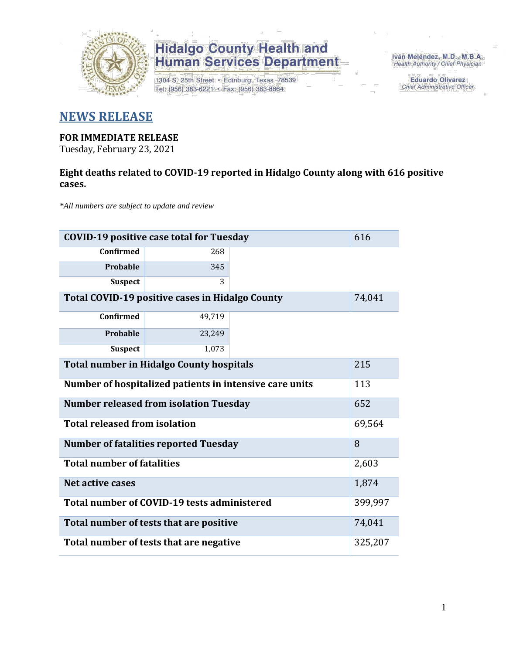

1304 S. 25th Street · Edinburg, Texas 78539 Tel: (956) 383-6221 · Fax: (956) 383-8864

Iván Meléndez, M.D., M.B.A. Health Authority / Chief Physician

> **Eduardo Olivarez** Chief Administrative Officer

### **NEWS RELEASE**

#### **FOR IMMEDIATE RELEASE**

Tuesday, February 23, 2021

### **Eight deaths related to COVID-19 reported in Hidalgo County along with 616 positive cases.**

*\*All numbers are subject to update and review*

| 616<br><b>COVID-19 positive case total for Tuesday</b>         |                                              |  |         |  |  |  |  |  |  |
|----------------------------------------------------------------|----------------------------------------------|--|---------|--|--|--|--|--|--|
| <b>Confirmed</b>                                               | 268                                          |  |         |  |  |  |  |  |  |
| Probable                                                       | 345                                          |  |         |  |  |  |  |  |  |
| <b>Suspect</b>                                                 | 3                                            |  |         |  |  |  |  |  |  |
| Total COVID-19 positive cases in Hidalgo County<br>74,041      |                                              |  |         |  |  |  |  |  |  |
| <b>Confirmed</b>                                               |                                              |  |         |  |  |  |  |  |  |
| Probable                                                       | 23,249                                       |  |         |  |  |  |  |  |  |
| <b>Suspect</b>                                                 | 1,073                                        |  |         |  |  |  |  |  |  |
| <b>Total number in Hidalgo County hospitals</b>                |                                              |  |         |  |  |  |  |  |  |
| Number of hospitalized patients in intensive care units<br>113 |                                              |  |         |  |  |  |  |  |  |
| 652<br><b>Number released from isolation Tuesday</b>           |                                              |  |         |  |  |  |  |  |  |
| <b>Total released from isolation</b>                           |                                              |  | 69,564  |  |  |  |  |  |  |
|                                                                | <b>Number of fatalities reported Tuesday</b> |  | 8       |  |  |  |  |  |  |
| <b>Total number of fatalities</b>                              |                                              |  | 2,603   |  |  |  |  |  |  |
| <b>Net active cases</b>                                        |                                              |  | 1,874   |  |  |  |  |  |  |
|                                                                | Total number of COVID-19 tests administered  |  | 399,997 |  |  |  |  |  |  |
| 74,041<br>Total number of tests that are positive              |                                              |  |         |  |  |  |  |  |  |
| 325,207<br>Total number of tests that are negative             |                                              |  |         |  |  |  |  |  |  |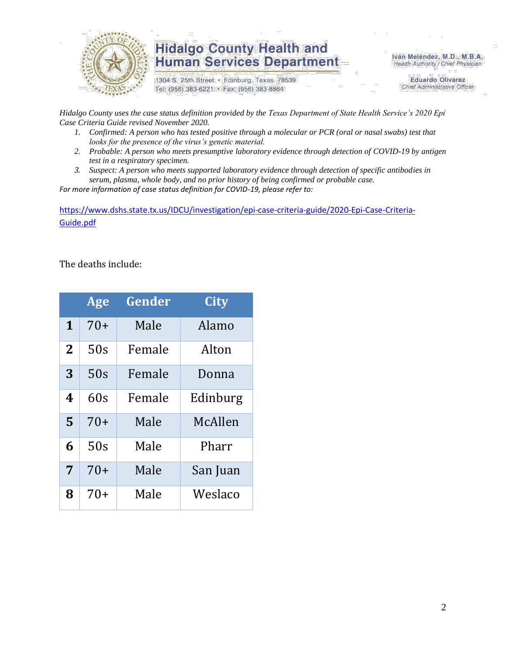

1304 S. 25th Street · Edinburg, Texas 78539 Tel: (956) 383-6221 · Fax: (956) 383-8864

Iván Meléndez, M.D., M.B.A. Health Authority / Chief Physician

> **Eduardo Olivarez** Chief Administrative Officer

*Hidalgo County uses the case status definition provided by the Texas Department of State Health Service's 2020 Epi Case Criteria Guide revised November 2020.*

- *1. Confirmed: A person who has tested positive through a molecular or PCR (oral or nasal swabs) test that looks for the presence of the virus's genetic material.*
- *2. Probable: A person who meets presumptive laboratory evidence through detection of COVID-19 by antigen test in a respiratory specimen.*
- *3. Suspect: A person who meets supported laboratory evidence through detection of specific antibodies in serum, plasma, whole body, and no prior history of being confirmed or probable case.*

*For more information of case status definition for COVID-19, please refer to:*

[https://www.dshs.state.tx.us/IDCU/investigation/epi-case-criteria-guide/2020-Epi-Case-Criteria-](https://www.dshs.state.tx.us/IDCU/investigation/epi-case-criteria-guide/2020-Epi-Case-Criteria-Guide.pdf)[Guide.pdf](https://www.dshs.state.tx.us/IDCU/investigation/epi-case-criteria-guide/2020-Epi-Case-Criteria-Guide.pdf)

The deaths include:

|                | Age   | Gender | City     |
|----------------|-------|--------|----------|
| 1              | $70+$ | Male   | Alamo    |
| $\overline{2}$ | 50s   | Female | Alton    |
| 3              | 50s   | Female | Donna    |
| 4              | 60s   | Female | Edinburg |
| 5              | $70+$ | Male   | McAllen  |
| 6              | 50s   | Male   | Pharr    |
| 7              | $70+$ | Male   | San Juan |
| 8              | $70+$ | Male   | Weslaco  |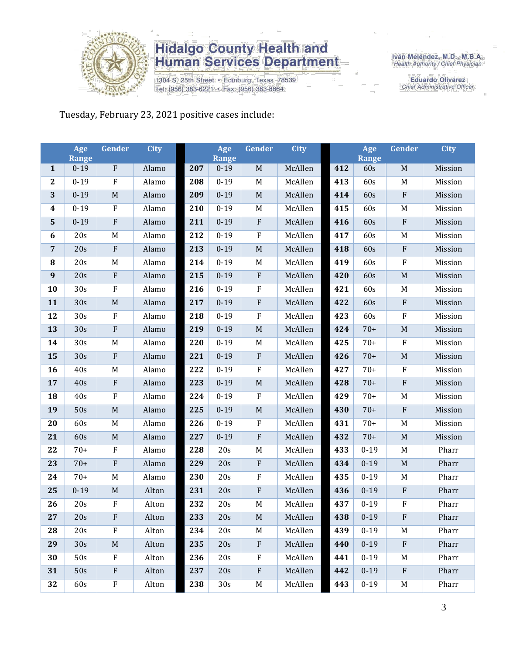

1304 S. 25th Street · Edinburg, Texas 78539 Tel: (956) 383-6221 · Fax: (956) 383-8864

Iván Meléndez, M.D., M.B.A.<br>Health Authority / Chief Physician

**Eduardo Olivarez** Chief Administrative Officer

Tuesday, February 23, 2021 positive cases include:

|                  | Age<br><b>Range</b> | Gender                    | <b>City</b> |     | Age<br><b>Range</b> | Gender       | <b>City</b> |     | Age<br>Range | Gender      | <b>City</b> |
|------------------|---------------------|---------------------------|-------------|-----|---------------------|--------------|-------------|-----|--------------|-------------|-------------|
| $\mathbf{1}$     | $0 - 19$            | ${\bf F}$                 | Alamo       | 207 | $0 - 19$            | $\mathbf M$  | McAllen     | 412 | 60s          | $\mathbf M$ | Mission     |
| $\mathbf{2}$     | $0 - 19$            | ${\bf F}$                 | Alamo       | 208 | $0 - 19$            | M            | McAllen     | 413 | 60s          | M           | Mission     |
| 3                | $0 - 19$            | $\mathbf M$               | Alamo       | 209 | $0 - 19$            | $\mathbf M$  | McAllen     | 414 | 60s          | ${\bf F}$   | Mission     |
| $\boldsymbol{4}$ | $0 - 19$            | ${\bf F}$                 | Alamo       | 210 | $0 - 19$            | M            | McAllen     | 415 | 60s          | M           | Mission     |
| 5                | $0 - 19$            | ${\bf F}$                 | Alamo       | 211 | $0 - 19$            | $\rm F$      | McAllen     | 416 | 60s          | ${\bf F}$   | Mission     |
| $\boldsymbol{6}$ | 20s                 | M                         | Alamo       | 212 | $0 - 19$            | $\rm F$      | McAllen     | 417 | 60s          | M           | Mission     |
| $\overline{7}$   | 20s                 | ${\bf F}$                 | Alamo       | 213 | $0 - 19$            | $\mathbf M$  | McAllen     | 418 | 60s          | ${\bf F}$   | Mission     |
| 8                | 20s                 | M                         | Alamo       | 214 | $0 - 19$            | M            | McAllen     | 419 | 60s          | $\rm F$     | Mission     |
| $\boldsymbol{9}$ | 20s                 | ${\bf F}$                 | Alamo       | 215 | $0 - 19$            | $\rm F$      | McAllen     | 420 | 60s          | $\mathbf M$ | Mission     |
| 10               | 30s                 | $\rm F$                   | Alamo       | 216 | $0 - 19$            | ${\bf F}$    | McAllen     | 421 | 60s          | M           | Mission     |
| 11               | 30s                 | $\mathbf M$               | Alamo       | 217 | $0 - 19$            | $\rm F$      | McAllen     | 422 | 60s          | ${\bf F}$   | Mission     |
| 12               | 30s                 | ${\bf F}$                 | Alamo       | 218 | $0 - 19$            | $\rm F$      | McAllen     | 423 | 60s          | $\rm F$     | Mission     |
| 13               | 30s                 | ${\bf F}$                 | Alamo       | 219 | $0 - 19$            | $\mathbf M$  | McAllen     | 424 | $70+$        | $\mathbf M$ | Mission     |
| 14               | 30s                 | M                         | Alamo       | 220 | $0 - 19$            | M            | McAllen     | 425 | $70+$        | $\rm F$     | Mission     |
| 15               | 30s                 | ${\bf F}$                 | Alamo       | 221 | $0 - 19$            | $\rm F$      | McAllen     | 426 | $70+$        | $\mathbf M$ | Mission     |
| 16               | 40s                 | $\mathbf M$               | Alamo       | 222 | $0-19$              | $\rm F$      | McAllen     | 427 | $70+$        | $\rm F$     | Mission     |
| 17               | 40s                 | ${\bf F}$                 | Alamo       | 223 | $0 - 19$            | M            | McAllen     | 428 | $70+$        | ${\bf F}$   | Mission     |
| 18               | 40s                 | $\rm F$                   | Alamo       | 224 | $0 - 19$            | $\rm F$      | McAllen     | 429 | $70+$        | M           | Mission     |
| 19               | 50s                 | $\mathbf M$               | Alamo       | 225 | $0 - 19$            | $\mathbf M$  | McAllen     | 430 | $70+$        | ${\bf F}$   | Mission     |
| 20               | 60s                 | M                         | Alamo       | 226 | $0 - 19$            | $\rm F$      | McAllen     | 431 | $70+$        | M           | Mission     |
| 21               | 60s                 | $\mathbf M$               | Alamo       | 227 | $0 - 19$            | ${\bf F}$    | McAllen     | 432 | $70+$        | $\mathbf M$ | Mission     |
| 22               | $70+$               | ${\bf F}$                 | Alamo       | 228 | 20s                 | $\mathbf M$  | McAllen     | 433 | $0 - 19$     | M           | Pharr       |
| 23               | $70+$               | ${\bf F}$                 | Alamo       | 229 | 20s                 | $\mathbf{F}$ | McAllen     | 434 | $0 - 19$     | $\mathbf M$ | Pharr       |
| 24               | $70+$               | M                         | Alamo       | 230 | 20s                 | $\rm F$      | McAllen     | 435 | $0 - 19$     | M           | Pharr       |
| 25               | $0 - 19$            | $\mathbf M$               | Alton       | 231 | 20s                 | $\rm F$      | McAllen     | 436 | $0 - 19$     | ${\bf F}$   | Pharr       |
| 26               | 20s                 | ${\bf F}$                 | Alton       | 232 | 20s                 | M            | McAllen     | 437 | $0 - 19$     | $\rm F$     | Pharr       |
| 27               | 20s                 | F                         | Alton       | 233 | 20s                 | M            | McAllen     | 438 | $0-19$       | F           | Pharr       |
| 28               | 20s                 | F                         | Alton       | 234 | 20s                 | M            | McAllen     | 439 | $0 - 19$     | M           | Pharr       |
| 29               | 30s                 | $\mathbf M$               | Alton       | 235 | 20s                 | $\rm F$      | McAllen     | 440 | $0 - 19$     | $\rm F$     | Pharr       |
| 30               | 50s                 | F                         | Alton       | 236 | 20s                 | $_{\rm F}$   | McAllen     | 441 | $0 - 19$     | M           | Pharr       |
| 31               | 50s                 | $\boldsymbol{\mathrm{F}}$ | Alton       | 237 | 20s                 | $\mathbf{F}$ | McAllen     | 442 | $0 - 19$     | $\rm F$     | Pharr       |
| 32               | 60s                 | $\mathbf F$               | Alton       | 238 | 30s                 | M            | McAllen     | 443 | $0 - 19$     | M           | Pharr       |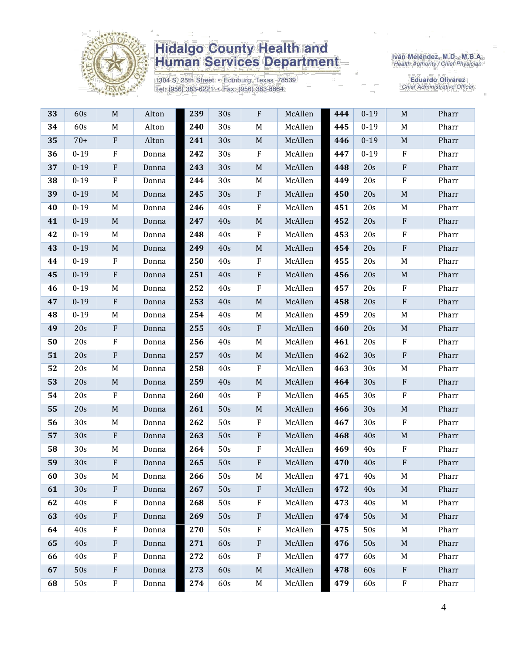

1304 S. 25th Street · Edinburg, Texas 78539 Tel: (956) 383-6221 · Fax: (956) 383-8864

Iván Meléndez, M.D., M.B.A.<br>Health Authority / Chief Physician

| 33 | 60s             | M                         | Alton | 239 | 30s | F            | McAllen | 444 | $0 - 19$ | M            | Pharr |
|----|-----------------|---------------------------|-------|-----|-----|--------------|---------|-----|----------|--------------|-------|
| 34 | 60s             | M                         | Alton | 240 | 30s | M            | McAllen | 445 | $0 - 19$ | M            | Pharr |
| 35 | $70+$           | $\boldsymbol{\mathrm{F}}$ | Alton | 241 | 30s | $\mathbf M$  | McAllen | 446 | $0 - 19$ | $\mathbf M$  | Pharr |
| 36 | $0 - 19$        | F                         | Donna | 242 | 30s | $\mathbf F$  | McAllen | 447 | $0 - 19$ | $\mathbf F$  | Pharr |
| 37 | $0 - 19$        | $\boldsymbol{\mathrm{F}}$ | Donna | 243 | 30s | $\mathbf M$  | McAllen | 448 | 20s      | $\mathbf{F}$ | Pharr |
| 38 | $0 - 19$        | $\rm F$                   | Donna | 244 | 30s | M            | McAllen | 449 | 20s      | ${\bf F}$    | Pharr |
| 39 | $0 - 19$        | $\mathbf M$               | Donna | 245 | 30s | $\rm F$      | McAllen | 450 | 20s      | $\mathbf M$  | Pharr |
| 40 | $0 - 19$        | M                         | Donna | 246 | 40s | ${\bf F}$    | McAllen | 451 | 20s      | M            | Pharr |
| 41 | $0 - 19$        | $\mathbf M$               | Donna | 247 | 40s | $\mathbf M$  | McAllen | 452 | 20s      | $\rm F$      | Pharr |
| 42 | $0 - 19$        | M                         | Donna | 248 | 40s | $\rm F$      | McAllen | 453 | 20s      | $\mathbf F$  | Pharr |
| 43 | $0 - 19$        | M                         | Donna | 249 | 40s | $\mathbf M$  | McAllen | 454 | 20s      | $\rm F$      | Pharr |
| 44 | $0 - 19$        | $\rm F$                   | Donna | 250 | 40s | $\rm F$      | McAllen | 455 | 20s      | M            | Pharr |
| 45 | $0 - 19$        | $\boldsymbol{\mathrm{F}}$ | Donna | 251 | 40s | ${\bf F}$    | McAllen | 456 | 20s      | $\mathbf M$  | Pharr |
| 46 | $0 - 19$        | M                         | Donna | 252 | 40s | $\mathbf F$  | McAllen | 457 | 20s      | F            | Pharr |
| 47 | $0 - 19$        | ${\bf F}$                 | Donna | 253 | 40s | $\mathbf M$  | McAllen | 458 | 20s      | $\rm F$      | Pharr |
| 48 | $0 - 19$        | M                         | Donna | 254 | 40s | M            | McAllen | 459 | 20s      | M            | Pharr |
| 49 | 20s             | $\boldsymbol{\mathrm{F}}$ | Donna | 255 | 40s | ${\bf F}$    | McAllen | 460 | 20s      | $M_{\odot}$  | Pharr |
| 50 | 20s             | F                         | Donna | 256 | 40s | M            | McAllen | 461 | 20s      | $\mathbf F$  | Pharr |
| 51 | 20s             | $\boldsymbol{\mathrm{F}}$ | Donna | 257 | 40s | $\mathbf M$  | McAllen | 462 | 30s      | $\rm F$      | Pharr |
| 52 | 20s             | M                         | Donna | 258 | 40s | ${\bf F}$    | McAllen | 463 | 30s      | M            | Pharr |
| 53 | 20s             | $\mathbf M$               | Donna | 259 | 40s | $\mathbf M$  | McAllen | 464 | 30s      | $\rm F$      | Pharr |
| 54 | 20s             | ${\bf F}$                 | Donna | 260 | 40s | ${\bf F}$    | McAllen | 465 | 30s      | $\rm F$      | Pharr |
| 55 | 20s             | $\mathbf M$               | Donna | 261 | 50s | $\mathbf M$  | McAllen | 466 | 30s      | $\mathbf M$  | Pharr |
| 56 | 30 <sub>s</sub> | M                         | Donna | 262 | 50s | $\rm F$      | McAllen | 467 | 30s      | $\mathbf F$  | Pharr |
| 57 | 30 <sub>s</sub> | $\boldsymbol{\mathrm{F}}$ | Donna | 263 | 50s | ${\bf F}$    | McAllen | 468 | 40s      | M            | Pharr |
| 58 | 30 <sub>s</sub> | M                         | Donna | 264 | 50s | $\rm F$      | McAllen | 469 | 40s      | $\rm F$      | Pharr |
| 59 | 30s             | ${\bf F}$                 | Donna | 265 | 50s | ${\bf F}$    | McAllen | 470 | 40s      | $\mathbf{F}$ | Pharr |
| 60 | 30s             | M                         | Donna | 266 | 50s | M            | McAllen | 471 | 40s      | M            | Pharr |
| 61 | 30 <sub>s</sub> | $\mathbf{F}$              | Donna | 267 | 50s | $\mathbf{F}$ | McAllen | 472 | 40s      | M            | Pharr |
| 62 | 40s             | $\mathbf F$               | Donna | 268 | 50s | $\mathbf F$  | McAllen | 473 | 40s      | M            | Pharr |
| 63 | 40s             | $\boldsymbol{\mathrm{F}}$ | Donna | 269 | 50s | ${\bf F}$    | McAllen | 474 | 50s      | $\mathbf M$  | Pharr |
| 64 | 40s             | $\mathbf{F}$              | Donna | 270 | 50s | $\mathbf F$  | McAllen | 475 | 50s      | M            | Pharr |
| 65 | 40s             | $\boldsymbol{\mathrm{F}}$ | Donna | 271 | 60s | $\rm F$      | McAllen | 476 | 50s      | $\mathbf M$  | Pharr |
| 66 | 40s             | $\mathbf F$               | Donna | 272 | 60s | $\mathbf F$  | McAllen | 477 | 60s      | M            | Pharr |
| 67 | 50s             | $\mathbf{F}$              | Donna | 273 | 60s | $\mathbf M$  | McAllen | 478 | 60s      | $\mathbf{F}$ | Pharr |
| 68 | 50s             | ${\bf F}$                 | Donna | 274 | 60s | M            | McAllen | 479 | 60s      | $\rm F$      | Pharr |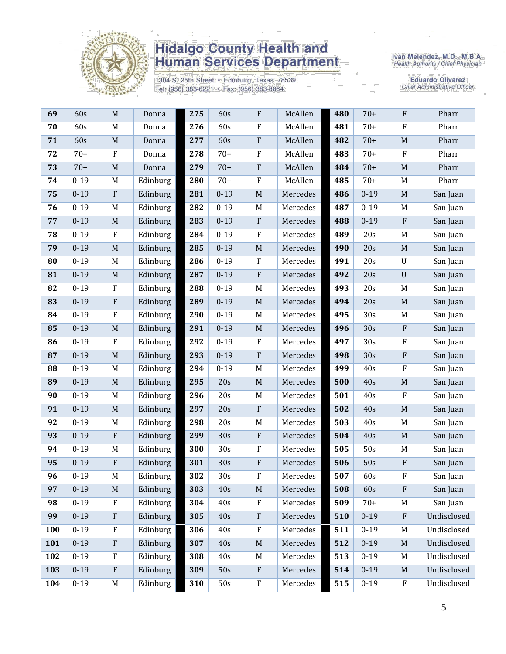

1304 S. 25th Street · Edinburg, Texas 78539 Tel: (956) 383-6221 · Fax: (956) 383-8864

Iván Meléndez, M.D., M.B.A.<br>Health Authority / Chief Physician

| 69  | 60s      | $\mathbf M$  | Donna    | 275 | 60s      | ${\bf F}$   | McAllen  | 480 | $70+$    | $\rm F$        | Pharr       |
|-----|----------|--------------|----------|-----|----------|-------------|----------|-----|----------|----------------|-------------|
| 70  | 60s      | M            | Donna    | 276 | 60s      | ${\bf F}$   | McAllen  | 481 | $70+$    | $\rm F$        | Pharr       |
| 71  | 60s      | $\mathbf M$  | Donna    | 277 | 60s      | ${\bf F}$   | McAllen  | 482 | $70+$    | M              | Pharr       |
| 72  | $70+$    | $\rm F$      | Donna    | 278 | $70+$    | ${\bf F}$   | McAllen  | 483 | $70+$    | $\rm F$        | Pharr       |
| 73  | $70+$    | $\mathbf M$  | Donna    | 279 | $70+$    | ${\bf F}$   | McAllen  | 484 | $70+$    | $\mathbf M$    | Pharr       |
| 74  | $0 - 19$ | M            | Edinburg | 280 | $70+$    | ${\bf F}$   | McAllen  | 485 | $70+$    | M              | Pharr       |
| 75  | $0 - 19$ | $\rm F$      | Edinburg | 281 | $0 - 19$ | $\mathbf M$ | Mercedes | 486 | $0 - 19$ | M              | San Juan    |
| 76  | $0 - 19$ | M            | Edinburg | 282 | $0 - 19$ | $\mathbf M$ | Mercedes | 487 | $0 - 19$ | M              | San Juan    |
| 77  | $0 - 19$ | M            | Edinburg | 283 | $0 - 19$ | ${\bf F}$   | Mercedes | 488 | $0 - 19$ | $\rm F$        | San Juan    |
| 78  | $0 - 19$ | $\mathbf{F}$ | Edinburg | 284 | $0 - 19$ | ${\bf F}$   | Mercedes | 489 | 20s      | M              | San Juan    |
| 79  | $0 - 19$ | $\mathbf M$  | Edinburg | 285 | $0 - 19$ | $\mathbf M$ | Mercedes | 490 | 20s      | M              | San Juan    |
| 80  | $0 - 19$ | M            | Edinburg | 286 | $0 - 19$ | $\rm F$     | Mercedes | 491 | 20s      | $\mathbf U$    | San Juan    |
| 81  | $0 - 19$ | $\mathbf M$  | Edinburg | 287 | $0 - 19$ | ${\bf F}$   | Mercedes | 492 | 20s      | $\mathbf U$    | San Juan    |
| 82  | $0 - 19$ | $\rm F$      | Edinburg | 288 | $0 - 19$ | $M_{\rm}$   | Mercedes | 493 | 20s      | M              | San Juan    |
| 83  | $0 - 19$ | ${\bf F}$    | Edinburg | 289 | $0 - 19$ | $\mathbf M$ | Mercedes | 494 | 20s      | $\mathbf M$    | San Juan    |
| 84  | $0 - 19$ | $\mathbf{F}$ | Edinburg | 290 | $0 - 19$ | $M_{\odot}$ | Mercedes | 495 | 30s      | M              | San Juan    |
| 85  | $0 - 19$ | M            | Edinburg | 291 | $0 - 19$ | $\mathbf M$ | Mercedes | 496 | 30s      | $\rm F$        | San Juan    |
| 86  | $0 - 19$ | $\rm F$      | Edinburg | 292 | $0 - 19$ | ${\bf F}$   | Mercedes | 497 | 30s      | $\rm F$        | San Juan    |
| 87  | $0 - 19$ | $\mathbf M$  | Edinburg | 293 | $0 - 19$ | ${\bf F}$   | Mercedes | 498 | 30s      | $\rm F$        | San Juan    |
| 88  | $0 - 19$ | M            | Edinburg | 294 | $0 - 19$ | $M_{\rm}$   | Mercedes | 499 | 40s      | $\rm F$        | San Juan    |
| 89  | $0 - 19$ | $\mathbf M$  | Edinburg | 295 | 20s      | $\mathbf M$ | Mercedes | 500 | 40s      | $\mathbf M$    | San Juan    |
| 90  | $0 - 19$ | M            | Edinburg | 296 | 20s      | $\mathbf M$ | Mercedes | 501 | 40s      | $\rm F$        | San Juan    |
| 91  | $0 - 19$ | $\mathbf M$  | Edinburg | 297 | 20s      | ${\bf F}$   | Mercedes | 502 | 40s      | $\mathbf M$    | San Juan    |
| 92  | $0 - 19$ | M            | Edinburg | 298 | 20s      | M           | Mercedes | 503 | 40s      | M              | San Juan    |
| 93  | $0 - 19$ | $\rm F$      | Edinburg | 299 | 30s      | ${\bf F}$   | Mercedes | 504 | 40s      | M              | San Juan    |
| 94  | $0 - 19$ | M            | Edinburg | 300 | 30s      | ${\bf F}$   | Mercedes | 505 | 50s      | M              | San Juan    |
| 95  | $0 - 19$ | $\mathbf{F}$ | Edinburg | 301 | 30s      | ${\bf F}$   | Mercedes | 506 | 50s      | $\rm F$        | San Juan    |
| 96  | $0 - 19$ | M            | Edinburg | 302 | 30s      | ${\bf F}$   | Mercedes | 507 | 60s      | $\rm F$        | San Juan    |
| 97  | $0 - 19$ | $\mathbf M$  | Edinburg | 303 | 40s      | $\mathbf M$ | Mercedes | 508 | 60s      | $\overline{F}$ | San Juan    |
| 98  | $0 - 19$ | $\rm F$      | Edinburg | 304 | 40s      | ${\bf F}$   | Mercedes | 509 | $70+$    | M              | San Juan    |
| 99  | $0 - 19$ | $\rm F$      | Edinburg | 305 | 40s      | ${\bf F}$   | Mercedes | 510 | $0 - 19$ | $\mathbf{F}$   | Undisclosed |
| 100 | $0 - 19$ | $\rm F$      | Edinburg | 306 | 40s      | ${\bf F}$   | Mercedes | 511 | $0 - 19$ | M              | Undisclosed |
| 101 | $0 - 19$ | $\rm F$      | Edinburg | 307 | 40s      | $\mathbf M$ | Mercedes | 512 | $0 - 19$ | M              | Undisclosed |
| 102 | $0 - 19$ | $\mathbf{F}$ | Edinburg | 308 | 40s      | M           | Mercedes | 513 | $0 - 19$ | M              | Undisclosed |
| 103 | $0 - 19$ | $\mathbf{F}$ | Edinburg | 309 | 50s      | ${\bf F}$   | Mercedes | 514 | $0 - 19$ | M              | Undisclosed |
| 104 | $0 - 19$ | M            | Edinburg | 310 | 50s      | ${\bf F}$   | Mercedes | 515 | $0 - 19$ | ${\bf F}$      | Undisclosed |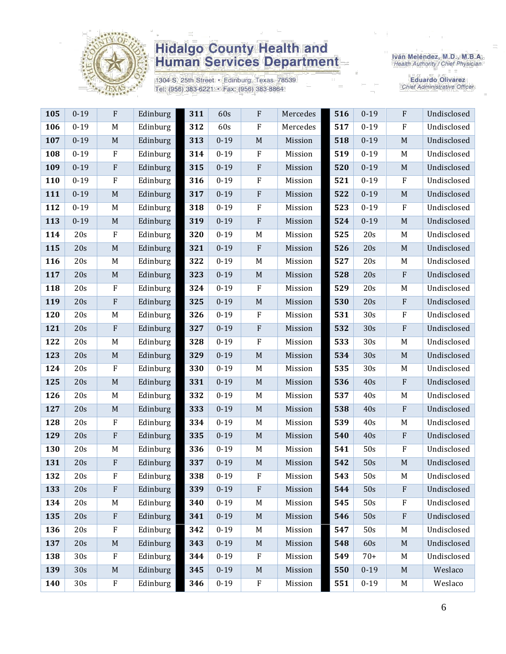

1304 S. 25th Street · Edinburg, Texas 78539 Tel: (956) 383-6221 · Fax: (956) 383-8864

Iván Meléndez, M.D., M.B.A.<br>Health Authority / Chief Physician

| 105 | $0 - 19$        | ${\bf F}$   | Edinburg | 311 | 60s      | F              | Mercedes | 516 | $0 - 19$ | $\mathbf{F}$ | Undisclosed |
|-----|-----------------|-------------|----------|-----|----------|----------------|----------|-----|----------|--------------|-------------|
| 106 | $0 - 19$        | M           | Edinburg | 312 | 60s      | $\overline{F}$ | Mercedes | 517 | $0 - 19$ | $\rm F$      | Undisclosed |
| 107 | $0 - 19$        | $\mathbf M$ | Edinburg | 313 | $0 - 19$ | $\mathbf M$    | Mission  | 518 | $0 - 19$ | M            | Undisclosed |
| 108 | $0 - 19$        | ${\bf F}$   | Edinburg | 314 | $0 - 19$ | $\rm F$        | Mission  | 519 | $0 - 19$ | M            | Undisclosed |
| 109 | $0 - 19$        | ${\bf F}$   | Edinburg | 315 | $0 - 19$ | ${\bf F}$      | Mission  | 520 | $0 - 19$ | $\mathbf M$  | Undisclosed |
| 110 | $0 - 19$        | ${\bf F}$   | Edinburg | 316 | $0 - 19$ | ${\bf F}$      | Mission  | 521 | $0 - 19$ | $\rm F$      | Undisclosed |
| 111 | $0 - 19$        | M           | Edinburg | 317 | $0 - 19$ | $\mathbf{F}$   | Mission  | 522 | $0 - 19$ | $\mathbf M$  | Undisclosed |
| 112 | $0 - 19$        | M           | Edinburg | 318 | $0 - 19$ | $\rm F$        | Mission  | 523 | $0 - 19$ | ${\bf F}$    | Undisclosed |
| 113 | $0 - 19$        | $\mathbf M$ | Edinburg | 319 | $0 - 19$ | $\rm F$        | Mission  | 524 | $0 - 19$ | $\mathbf M$  | Undisclosed |
| 114 | 20s             | ${\bf F}$   | Edinburg | 320 | $0 - 19$ | M              | Mission  | 525 | 20s      | M            | Undisclosed |
| 115 | 20s             | $\mathbf M$ | Edinburg | 321 | $0 - 19$ | $\rm F$        | Mission  | 526 | 20s      | M            | Undisclosed |
| 116 | 20s             | M           | Edinburg | 322 | $0 - 19$ | M              | Mission  | 527 | 20s      | M            | Undisclosed |
| 117 | 20s             | $\mathbf M$ | Edinburg | 323 | $0 - 19$ | $\mathbf M$    | Mission  | 528 | 20s      | $\rm F$      | Undisclosed |
| 118 | 20s             | ${\bf F}$   | Edinburg | 324 | $0-19$   | $\mathbf F$    | Mission  | 529 | 20s      | M            | Undisclosed |
| 119 | 20s             | ${\bf F}$   | Edinburg | 325 | $0 - 19$ | $\mathbf M$    | Mission  | 530 | 20s      | $\rm F$      | Undisclosed |
| 120 | 20s             | M           | Edinburg | 326 | $0 - 19$ | $\mathbf{F}$   | Mission  | 531 | 30s      | $\rm F$      | Undisclosed |
| 121 | 20s             | ${\bf F}$   | Edinburg | 327 | $0 - 19$ | ${\bf F}$      | Mission  | 532 | 30s      | ${\bf F}$    | Undisclosed |
| 122 | 20s             | $\mathbf M$ | Edinburg | 328 | $0 - 19$ | $\rm F$        | Mission  | 533 | 30s      | M            | Undisclosed |
| 123 | 20s             | $\mathbf M$ | Edinburg | 329 | $0 - 19$ | $\mathbf M$    | Mission  | 534 | 30s      | $\mathbf M$  | Undisclosed |
| 124 | 20s             | ${\bf F}$   | Edinburg | 330 | $0 - 19$ | $M_{\rm}$      | Mission  | 535 | 30s      | M            | Undisclosed |
| 125 | 20s             | $\mathbf M$ | Edinburg | 331 | $0 - 19$ | $\mathbf M$    | Mission  | 536 | 40s      | $\rm F$      | Undisclosed |
| 126 | 20s             | M           | Edinburg | 332 | $0 - 19$ | M              | Mission  | 537 | 40s      | M            | Undisclosed |
| 127 | 20s             | $\mathbf M$ | Edinburg | 333 | $0 - 19$ | $\mathbf M$    | Mission  | 538 | 40s      | ${\bf F}$    | Undisclosed |
| 128 | 20s             | F           | Edinburg | 334 | $0 - 19$ | M              | Mission  | 539 | 40s      | M            | Undisclosed |
| 129 | 20s             | ${\bf F}$   | Edinburg | 335 | $0 - 19$ | $\mathbf M$    | Mission  | 540 | 40s      | ${\bf F}$    | Undisclosed |
| 130 | 20s             | M           | Edinburg | 336 | $0 - 19$ | M              | Mission  | 541 | 50s      | $\rm F$      | Undisclosed |
| 131 | 20s             | ${\bf F}$   | Edinburg | 337 | $0 - 19$ | $\mathbf M$    | Mission  | 542 | 50s      | $\mathbf M$  | Undisclosed |
| 132 | 20s             | F           | Edinburg | 338 | $0 - 19$ | ${\bf F}$      | Mission  | 543 | 50s      | M            | Undisclosed |
| 133 | 20s             | ${\bf F}$   | Edinburg | 339 | $0 - 19$ | $\rm F$        | Mission  | 544 | 50s      | ${\bf F}$    | Undisclosed |
| 134 | 20s             | M           | Edinburg | 340 | $0 - 19$ | M              | Mission  | 545 | 50s      | $\rm F$      | Undisclosed |
| 135 | 20s             | ${\bf F}$   | Edinburg | 341 | $0 - 19$ | $\mathbf M$    | Mission  | 546 | 50s      | ${\bf F}$    | Undisclosed |
| 136 | 20s             | ${\bf F}$   | Edinburg | 342 | $0 - 19$ | $M_{\rm}$      | Mission  | 547 | 50s      | M            | Undisclosed |
| 137 | 20s             | $\mathbf M$ | Edinburg | 343 | $0 - 19$ | $\mathbf M$    | Mission  | 548 | 60s      | $\mathbf M$  | Undisclosed |
| 138 | 30 <sub>s</sub> | F           | Edinburg | 344 | $0 - 19$ | $\mathbf F$    | Mission  | 549 | $70+$    | M            | Undisclosed |
| 139 | 30s             | M           | Edinburg | 345 | $0 - 19$ | $\mathbf M$    | Mission  | 550 | $0 - 19$ | $M_{\odot}$  | Weslaco     |
| 140 | 30s             | ${\bf F}$   | Edinburg | 346 | $0 - 19$ | ${\bf F}$      | Mission  | 551 | $0 - 19$ | M            | Weslaco     |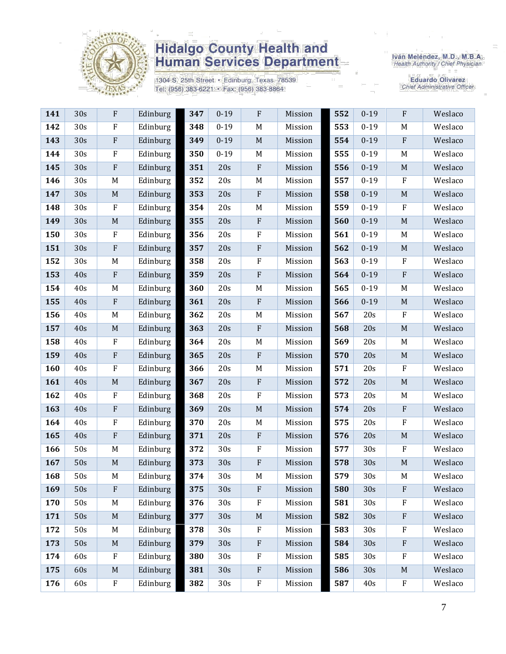

1304 S. 25th Street · Edinburg, Texas 78539 Tel: (956) 383-6221 · Fax: (956) 383-8864

Iván Meléndez, M.D., M.B.A.<br>Health Authority / Chief Physician

| 141 | 30s | $\boldsymbol{\mathrm{F}}$ | Edinburg | 347 | $0 - 19$ | $\rm F$                   | Mission | 552 | $0 - 19$ | ${\bf F}$   | Weslaco |
|-----|-----|---------------------------|----------|-----|----------|---------------------------|---------|-----|----------|-------------|---------|
| 142 | 30s | $\rm F$                   | Edinburg | 348 | $0 - 19$ | $\mathbf M$               | Mission | 553 | $0 - 19$ | $\mathbf M$ | Weslaco |
| 143 | 30s | $\boldsymbol{\mathrm{F}}$ | Edinburg | 349 | $0 - 19$ | $\mathbf M$               | Mission | 554 | $0 - 19$ | ${\bf F}$   | Weslaco |
| 144 | 30s | $\rm F$                   | Edinburg | 350 | $0 - 19$ | $\mathbf M$               | Mission | 555 | $0 - 19$ | $\mathbf M$ | Weslaco |
| 145 | 30s | $\boldsymbol{\mathrm{F}}$ | Edinburg | 351 | 20s      | $\, {\bf F}$              | Mission | 556 | $0 - 19$ | $\mathbf M$ | Weslaco |
| 146 | 30s | M                         | Edinburg | 352 | 20s      | M                         | Mission | 557 | $0 - 19$ | $\rm F$     | Weslaco |
| 147 | 30s | $\mathbf M$               | Edinburg | 353 | 20s      | $\boldsymbol{\mathrm{F}}$ | Mission | 558 | $0 - 19$ | $\mathbf M$ | Weslaco |
| 148 | 30s | $\rm F$                   | Edinburg | 354 | 20s      | $\mathbf M$               | Mission | 559 | $0 - 19$ | $\rm F$     | Weslaco |
| 149 | 30s | $\mathbf M$               | Edinburg | 355 | 20s      | $\rm F$                   | Mission | 560 | $0 - 19$ | $\mathbf M$ | Weslaco |
| 150 | 30s | ${\bf F}$                 | Edinburg | 356 | 20s      | $\rm F$                   | Mission | 561 | $0 - 19$ | M           | Weslaco |
| 151 | 30s | $\boldsymbol{\mathrm{F}}$ | Edinburg | 357 | 20s      | $\rm F$                   | Mission | 562 | $0 - 19$ | $\mathbf M$ | Weslaco |
| 152 | 30s | M                         | Edinburg | 358 | 20s      | $\rm F$                   | Mission | 563 | $0 - 19$ | $\rm F$     | Weslaco |
| 153 | 40s | $\boldsymbol{\mathrm{F}}$ | Edinburg | 359 | 20s      | ${\bf F}$                 | Mission | 564 | $0 - 19$ | ${\bf F}$   | Weslaco |
| 154 | 40s | M                         | Edinburg | 360 | 20s      | $\mathbf M$               | Mission | 565 | $0 - 19$ | $\mathbf M$ | Weslaco |
| 155 | 40s | $\boldsymbol{\mathrm{F}}$ | Edinburg | 361 | 20s      | ${\bf F}$                 | Mission | 566 | $0 - 19$ | $\mathbf M$ | Weslaco |
| 156 | 40s | $\mathbf M$               | Edinburg | 362 | 20s      | M                         | Mission | 567 | 20s      | $\rm F$     | Weslaco |
| 157 | 40s | M                         | Edinburg | 363 | 20s      | $\rm F$                   | Mission | 568 | 20s      | $\mathbf M$ | Weslaco |
| 158 | 40s | $\rm F$                   | Edinburg | 364 | 20s      | M                         | Mission | 569 | 20s      | M           | Weslaco |
| 159 | 40s | $\boldsymbol{\mathrm{F}}$ | Edinburg | 365 | 20s      | $\rm F$                   | Mission | 570 | 20s      | $\mathbf M$ | Weslaco |
| 160 | 40s | ${\bf F}$                 | Edinburg | 366 | 20s      | M                         | Mission | 571 | 20s      | ${\bf F}$   | Weslaco |
| 161 | 40s | $\mathbf M$               | Edinburg | 367 | 20s      | $\rm F$                   | Mission | 572 | 20s      | $\mathbf M$ | Weslaco |
| 162 | 40s | $\rm F$                   | Edinburg | 368 | 20s      | $\rm F$                   | Mission | 573 | 20s      | M           | Weslaco |
| 163 | 40s | $\boldsymbol{\mathrm{F}}$ | Edinburg | 369 | 20s      | $\mathbf M$               | Mission | 574 | 20s      | ${\bf F}$   | Weslaco |
| 164 | 40s | ${\bf F}$                 | Edinburg | 370 | 20s      | M                         | Mission | 575 | 20s      | $\rm F$     | Weslaco |
| 165 | 40s | $\overline{\mathrm{F}}$   | Edinburg | 371 | 20s      | $\rm F$                   | Mission | 576 | 20s      | $\mathbf M$ | Weslaco |
| 166 | 50s | M                         | Edinburg | 372 | 30s      | ${\bf F}$                 | Mission | 577 | 30s      | ${\bf F}$   | Weslaco |
| 167 | 50s | $\mathbf M$               | Edinburg | 373 | 30s      | $\rm F$                   | Mission | 578 | 30s      | $\mathbf M$ | Weslaco |
| 168 | 50s | M                         | Edinburg | 374 | 30s      | $\mathbf M$               | Mission | 579 | 30s      | $\mathbf M$ | Weslaco |
| 169 | 50s | $\boldsymbol{\mathrm{F}}$ | Edinburg | 375 | 30s      | $\mathbf{F}$              | Mission | 580 | 30s      | ${\bf F}$   | Weslaco |
| 170 | 50s | M                         | Edinburg | 376 | 30s      | $\mathbf F$               | Mission | 581 | 30s      | $\rm F$     | Weslaco |
| 171 | 50s | $\mathbf M$               | Edinburg | 377 | 30s      | $\mathbf M$               | Mission | 582 | 30s      | ${\bf F}$   | Weslaco |
| 172 | 50s | M                         | Edinburg | 378 | 30s      | $\rm F$                   | Mission | 583 | 30s      | F           | Weslaco |
| 173 | 50s | $\mathbf M$               | Edinburg | 379 | 30s      | ${\bf F}$                 | Mission | 584 | 30s      | ${\bf F}$   | Weslaco |
| 174 | 60s | ${\bf F}$                 | Edinburg | 380 | 30s      | ${\bf F}$                 | Mission | 585 | 30s      | F           | Weslaco |
| 175 | 60s | $\mathbf M$               | Edinburg | 381 | 30s      | ${\bf F}$                 | Mission | 586 | 30s      | $\mathbf M$ | Weslaco |
| 176 | 60s | ${\bf F}$                 | Edinburg | 382 | 30s      | ${\bf F}$                 | Mission | 587 | 40s      | ${\bf F}$   | Weslaco |